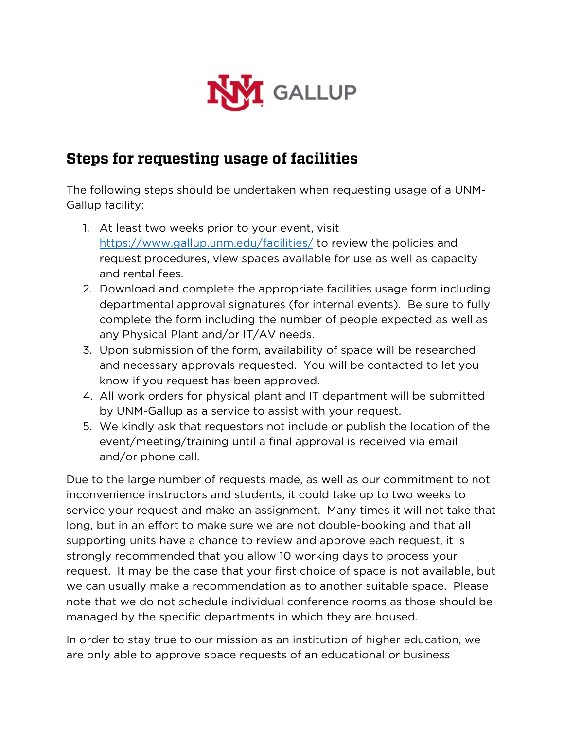

## **Steps for requesting usage of facilities**

The following steps should be undertaken when requesting usage of a UNM-Gallup facility:

- 1. At least two weeks prior to your event, visit <https://www.gallup.unm.edu/facilities/> to review the policies and request procedures, view spaces available for use as well as capacity and rental fees.
- 2. Download and complete the appropriate facilities usage form including departmental approval signatures (for internal events). Be sure to fully complete the form including the number of people expected as well as any Physical Plant and/or IT/AV needs.
- 3. Upon submission of the form, availability of space will be researched and necessary approvals requested. You will be contacted to let you know if you request has been approved.
- 4. All work orders for physical plant and IT department will be submitted by UNM-Gallup as a service to assist with your request.
- 5. We kindly ask that requestors not include or publish the location of the event/meeting/training until a final approval is received via email and/or phone call.

Due to the large number of requests made, as well as our commitment to not inconvenience instructors and students, it could take up to two weeks to service your request and make an assignment. Many times it will not take that long, but in an effort to make sure we are not double-booking and that all supporting units have a chance to review and approve each request, it is strongly recommended that you allow 10 working days to process your request. It may be the case that your first choice of space is not available, but we can usually make a recommendation as to another suitable space. Please note that we do not schedule individual conference rooms as those should be managed by the specific departments in which they are housed.

In order to stay true to our mission as an institution of higher education, we are only able to approve space requests of an educational or business